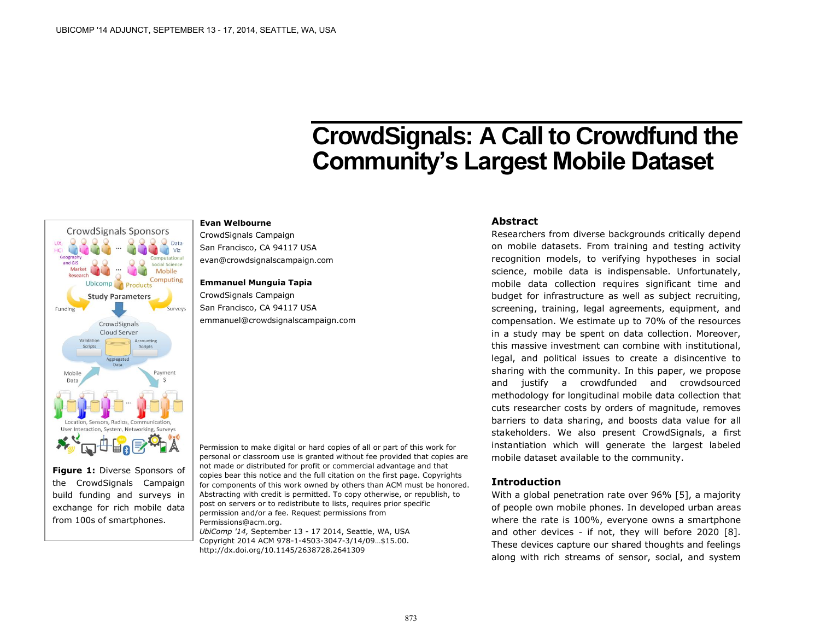# **CrowdSignals: A Call to Crowdfund the Community's Largest Mobile Dataset**

#### **CrowdSignals Sponsors TIX** HO  $Viz$ Generar and GIS Social Science Mobile Computing Ubicomp<sub>1</sub> Products **Study Parameters** Funding Surveys CrowdSignals Cloud Server Accounting Scripts Scripts Aggregate Mobile Payment 廿日图

**Figure 1:** Diverse Sponsors of the CrowdSignals Campaign build funding and surveys in exchange for rich mobile data from 100s of smartphones.

CrowdSignals Campaign San Francisco, CA 94117 USA evan@crowdsignalscampaign.com

#### **Emmanuel Munguia Tapia**

**Evan Welbourne**

CrowdSignals Campaign San Francisco, CA 94117 USA emmanuel@crowdsignalscampaign.com

Permission to make digital or hard copies of all or part of this work for personal or classroom use is granted without fee provided that copies are not made or distributed for profit or commercial advantage and that copies bear this notice and the full citation on the first page. Copyrights for components of this work owned by others than ACM must be honored. Abstracting with credit is permitted. To copy otherwise, or republish, to post on servers or to redistribute to lists, requires prior specific permission and/or a fee. Request permissions from [Permissions@acm.org.](mailto:Permissions@acm.org)

*UbiComp '14,* September 13 - 17 2014, Seattle, WA, USA Copyright 2014 ACM 978-1-4503-3047-3/14/09…\$15.00. <http://dx.doi.org/10.1145/2638728.2641309>

# **Abstract**

Researchers from diverse backgrounds critically depend on mobile datasets. From training and testing activity recognition models, to verifying hypotheses in social science, mobile data is indispensable. Unfortunately, mobile data collection requires significant time and budget for infrastructure as well as subject recruiting, screening, training, legal agreements, equipment, and compensation. We estimate up to 70% of the resources in a study may be spent on data collection. Moreover, this massive investment can combine with institutional, legal, and political issues to create a disincentive to sharing with the community. In this paper, we propose and justify a crowdfunded and crowdsourced methodology for longitudinal mobile data collection that cuts researcher costs by orders of magnitude, removes barriers to data sharing, and boosts data value for all stakeholders. We also present CrowdSignals, a first instantiation which will generate the largest labeled mobile dataset available to the community.

# **Introduction**

With a global penetration rate over 96% [5], a majority of people own mobile phones. In developed urban areas where the rate is 100%, everyone owns a smartphone and other devices - if not, they will before 2020 [8]. These devices capture our shared thoughts and feelings along with rich streams of sensor, social, and system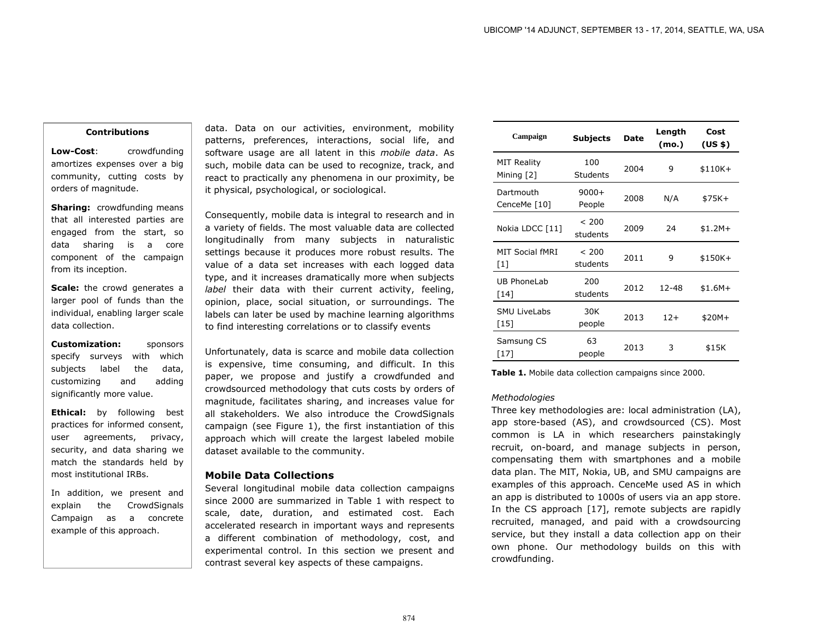#### **Contributions**

**Low-Cost:** crowdfunding amortizes expenses over a big community, cutting costs by orders of magnitude.

**Sharing:** crowdfunding means that all interested parties are engaged from the start, so data sharing is a core component of the campaign from its inception.

**Scale:** the crowd generates a larger pool of funds than the individual, enabling larger scale data collection.

**Customization:** sponsors specify surveys with which subjects label the data, customizing and adding significantly more value.

**Ethical:** by following best practices for informed consent, user agreements, privacy, security, and data sharing we match the standards held by most institutional IRBs.

In addition, we present and explain the CrowdSignals Campaign as a concrete example of this approach.

data. Data on our activities, environment, mobility patterns, preferences, interactions, social life, and software usage are all latent in this *mobile data*. As such, mobile data can be used to recognize, track, and react to practically any phenomena in our proximity, be it physical, psychological, or sociological.

Consequently, mobile data is integral to research and in a variety of fields. The most valuable data are collected longitudinally from many subjects in naturalistic settings because it produces more robust results. The value of a data set increases with each logged data type, and it increases dramatically more when subjects *label* their data with their current activity, feeling, opinion, place, social situation, or surroundings. The labels can later be used by machine learning algorithms to find interesting correlations or to classify events

Unfortunately, data is scarce and mobile data collection is expensive, time consuming, and difficult. In this paper, we propose and justify a crowdfunded and crowdsourced methodology that cuts costs by orders of magnitude, facilitates sharing, and increases value for all stakeholders. We also introduce the CrowdSignals campaign (see Figure 1), the first instantiation of this approach which will create the largest labeled mobile dataset available to the community.

#### **Mobile Data Collections**

Several longitudinal mobile data collection campaigns since 2000 are summarized in Table 1 with respect to scale, date, duration, and estimated cost. Each accelerated research in important ways and represents a different combination of methodology, cost, and experimental control. In this section we present and contrast several key aspects of these campaigns.

| Campaign                           | Subjects               | <b>Date</b> | Length<br>(mo.) | Cost<br>(US <sub>5</sub> ) |
|------------------------------------|------------------------|-------------|-----------------|----------------------------|
| <b>MIT Reality</b><br>Mining $[2]$ | 100<br><b>Students</b> | 2004        | 9               | $$110K+$                   |
| Dartmouth<br>CenceMe [10]          | $9000+$<br>People      | 2008        | N/A             | \$75K+                     |
| Nokia LDCC [11]                    | < 200<br>students      | 2009        | 24              | $$1.2M+$                   |
| MIT Social fMRI<br>$[1]$           | < 200<br>students      | 2011        | 9               | $$150K+$                   |
| UB PhoneLab<br>[14]                | 200<br>students        | 2012        | 12-48           | $$1.6M+$                   |
| <b>SMU LiveLabs</b><br>[15]        | 30K<br>people          | 2013        | $12+$           | $$20M+$                    |
| Samsung CS<br>$[17]$               | 63<br>people           | 2013        | 3               | \$15K                      |

**Table 1.** Mobile data collection campaigns since 2000.

#### *Methodologies*

Three key methodologies are: local administration (LA), app store-based (AS), and crowdsourced (CS). Most common is LA in which researchers painstakingly recruit, on-board, and manage subjects in person, compensating them with smartphones and a mobile data plan. The MIT, Nokia, UB, and SMU campaigns are examples of this approach. CenceMe used AS in which an app is distributed to 1000s of users via an app store. In the CS approach [17], remote subjects are rapidly recruited, managed, and paid with a crowdsourcing service, but they install a data collection app on their own phone. Our methodology builds on this with crowdfunding.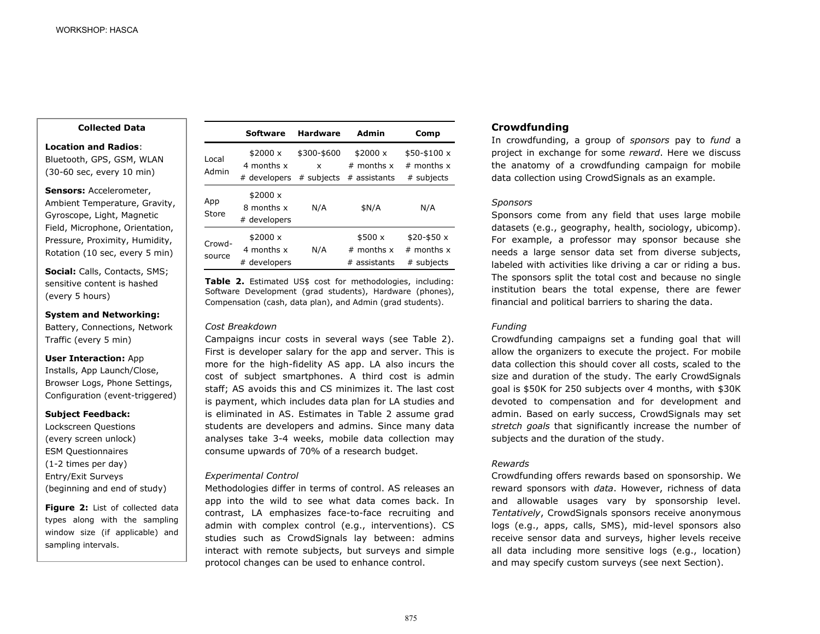**Collected Data**

**Location and Radios**:

Bluetooth, GPS, GSM, WLAN (30-60 sec, every 10 min)

**Sensors:** Accelerometer,

Ambient Temperature, Gravity, Gyroscope, Light, Magnetic Field, Microphone, Orientation, Pressure, Proximity, Humidity, Rotation (10 sec, every 5 min)

**Social:** Calls, Contacts, SMS; sensitive content is hashed (every 5 hours)

#### **System and Networking:**

Battery, Connections, Network Traffic (every 5 min)

#### **User Interaction:** App

Installs, App Launch/Close, Browser Logs, Phone Settings, Configuration (event-triggered)

#### **Subject Feedback:**

Lockscreen Questions (every screen unlock) ESM Questionnaires (1-2 times per day) Entry/Exit Surveys (beginning and end of study)

**Figure 2:** List of collected data types along with the sampling window size (if applicable) and sampling intervals.

|                  | <b>Software</b>                        | <b>Hardware</b>  | Admin                                  | Comp                                         |
|------------------|----------------------------------------|------------------|----------------------------------------|----------------------------------------------|
| Local<br>Admin   | \$2000 x<br>4 months x                 | \$300-\$600<br>x | \$2000x<br>$#$ months $x$              | $$50 - $100 x$<br>$#$ months $x$             |
|                  | # developers                           | # subjects       | # assistants                           | # subjects                                   |
| App<br>Store     | \$2000 x<br>8 months x<br># developers | N/A              | \$N/A                                  | N/A                                          |
| Crowd-<br>source | \$2000 x<br>4 months x<br># developers | N/A              | \$500x<br>$#$ months x<br># assistants | $$20 - $50x$<br>$#$ months $x$<br># subjects |

**Table 2.** Estimated US\$ cost for methodologies, including: Software Development (grad students), Hardware (phones), Compensation (cash, data plan), and Admin (grad students).

#### *Cost Breakdown*

Campaigns incur costs in several ways (see Table 2). First is developer salary for the app and server. This is more for the high-fidelity AS app. LA also incurs the cost of subject smartphones. A third cost is admin staff; AS avoids this and CS minimizes it. The last cost is payment, which includes data plan for LA studies and is eliminated in AS. Estimates in Table 2 assume grad students are developers and admins. Since many data analyses take 3-4 weeks, mobile data collection may consume upwards of 70% of a research budget.

#### *Experimental Control*

Methodologies differ in terms of control. AS releases an app into the wild to see what data comes back. In contrast, LA emphasizes face-to-face recruiting and admin with complex control (e.g., interventions). CS studies such as CrowdSignals lay between: admins interact with remote subjects, but surveys and simple protocol changes can be used to enhance control.

# **Crowdfunding**

In crowdfunding, a group of *sponsors* pay to *fund* a project in exchange for some *reward*. Here we discuss the anatomy of a crowdfunding campaign for mobile data collection using CrowdSignals as an example.

#### *Sponsors*

Sponsors come from any field that uses large mobile datasets (e.g., geography, health, sociology, ubicomp). For example, a professor may sponsor because she needs a large sensor data set from diverse subjects, labeled with activities like driving a car or riding a bus. The sponsors split the total cost and because no single institution bears the total expense, there are fewer financial and political barriers to sharing the data.

# *Funding*

Crowdfunding campaigns set a funding goal that will allow the organizers to execute the project. For mobile data collection this should cover all costs, scaled to the size and duration of the study. The early CrowdSignals goal is \$50K for 250 subjects over 4 months, with \$30K devoted to compensation and for development and admin. Based on early success, CrowdSignals may set *stretch goals* that significantly increase the number of subjects and the duration of the study.

# *Rewards*

Crowdfunding offers rewards based on sponsorship. We reward sponsors with *data*. However, richness of data and allowable usages vary by sponsorship level. *Tentatively*, CrowdSignals sponsors receive anonymous logs (e.g., apps, calls, SMS), mid-level sponsors also receive sensor data and surveys, higher levels receive all data including more sensitive logs (e.g., location) and may specify custom surveys (see next Section).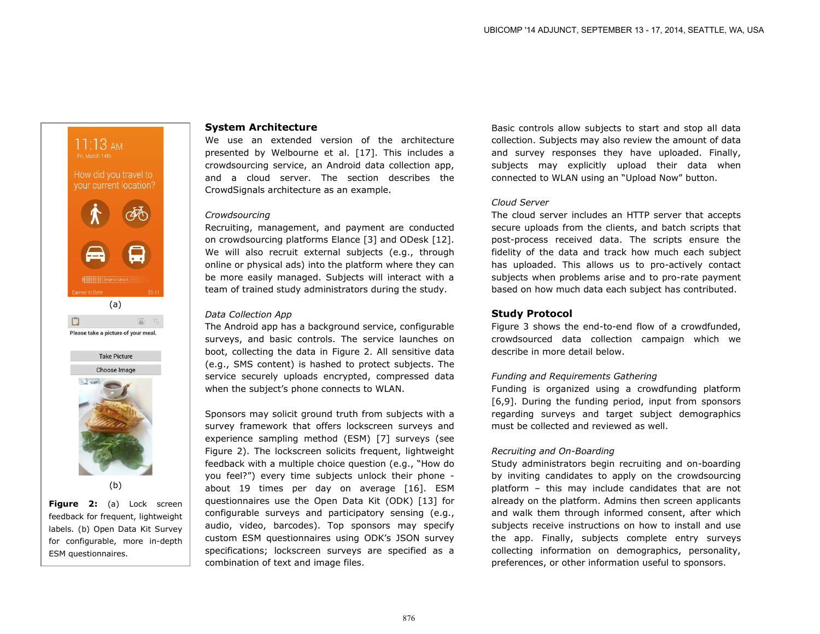

# (b)

**Figure 2:** (a) Lock screen feedback for frequent, lightweight labels. (b) Open Data Kit Survey for configurable, more in-depth ESM questionnaires.

# **System Architecture**

We use an extended version of the architecture presented by Welbourne et al. [17]. This includes a crowdsourcing service, an Android data collection app, and a cloud server. The section describes the CrowdSignals architecture as an example.

# *Crowdsourcing*

Recruiting, management, and payment are conducted on crowdsourcing platforms Elance [3] and ODesk [12]. We will also recruit external subjects (e.g., through online or physical ads) into the platform where they can be more easily managed. Subjects will interact with a team of trained study administrators during the study.

#### *Data Collection App*

The Android app has a background service, configurable surveys, and basic controls. The service launches on boot, collecting the data in Figure 2. All sensitive data (e.g., SMS content) is hashed to protect subjects. The service securely uploads encrypted, compressed data when the subject's phone connects to WLAN.

Sponsors may solicit ground truth from subjects with a survey framework that offers lockscreen surveys and experience sampling method (ESM) [7] surveys (see Figure 2). The lockscreen solicits frequent, lightweight feedback with a multiple choice question (e.g., "How do you feel?") every time subjects unlock their phone about 19 times per day on average [16]. ESM questionnaires use the Open Data Kit (ODK) [13] for configurable surveys and participatory sensing (e.g., audio, video, barcodes). Top sponsors may specify custom ESM questionnaires using ODK's JSON survey specifications; lockscreen surveys are specified as a combination of text and image files.

Basic controls allow subjects to start and stop all data collection. Subjects may also review the amount of data and survey responses they have uploaded. Finally, subjects may explicitly upload their data when connected to WLAN using an "Upload Now" button.

#### *Cloud Server*

The cloud server includes an HTTP server that accepts secure uploads from the clients, and batch scripts that post-process received data. The scripts ensure the fidelity of the data and track how much each subject has uploaded. This allows us to pro-actively contact subjects when problems arise and to pro-rate payment based on how much data each subject has contributed.

# **Study Protocol**

Figure 3 shows the end-to-end flow of a crowdfunded, crowdsourced data collection campaign which we describe in more detail below.

# *Funding and Requirements Gathering*

Funding is organized using a crowdfunding platform [6,9]. During the funding period, input from sponsors regarding surveys and target subject demographics must be collected and reviewed as well.

# *Recruiting and On-Boarding*

Study administrators begin recruiting and on-boarding by inviting candidates to apply on the crowdsourcing platform – this may include candidates that are not already on the platform. Admins then screen applicants and walk them through informed consent, after which subjects receive instructions on how to install and use the app. Finally, subjects complete entry surveys collecting information on demographics, personality, preferences, or other information useful to sponsors.